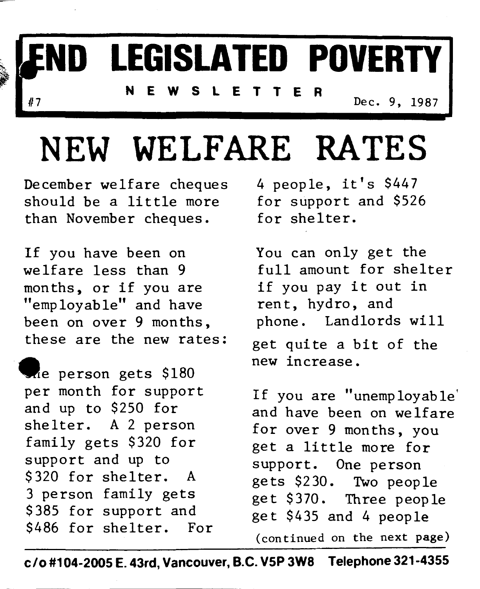# **ND LEGISLATED POVERTY**

**NEWSLETTER** 

**Dec. 9, 1987** 

## NEW **WELFARE RATES**

December welfare cheques 4 people, it's \$447<br>should be a little more for support and \$52 than November cheques.

If you have been on You can only get the welfare less than 9 full amount for shelter months, or if you are if you pay it out in "employable" and have rent, hydro, and<br>been on over 9 months, phone. Landlords will been on over 9 months.

me person gets \$180 per month for support and up to \$250 for shelter. **A** 2 person family gets \$320 for support and up to \$320 for shelter. **A**  3 person family gets \$385 for support and \$486 for shelter. For for support and \$526<br>for shelter.

these are the new rates: get quite a bit of the new increase.

> If you are "unemployable' and have been on welfare for over 9 months, you get a little more for support. One person gets \$230. Two people get \$370. Three people get \$435 and 4 people (continued on **the next page)**

**C/O #104-2005 E. 43rd, Vancouver, B.C. V5P 3W8 Telephone 321-4355**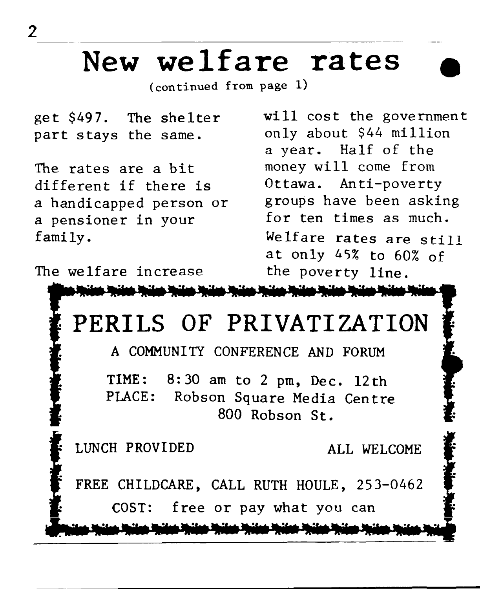#### **New welfare rates**

(continued **from page 1)** 

get \$497. The shelter part stays the same.

The rates are a bit different if there is a handicapped person or a pensioner in your family.

The welfare increase

will cost the government only about \$44 million a year. Half of the money will come from Ottawa. Anti-poverty groups have been asking for ten times as much. Welfare rates are **still**  at only 45% to 60% of the poverty line.



**C** LUNCH PROVIDED ALL WELCOME **f**<br> **FREE CHILDCARE**, CALL RUTH HOULE, 253-0462 COST: free or pay what you can

المناشئة والمناشرة والمتحاشرة والمناشئة والمناشرة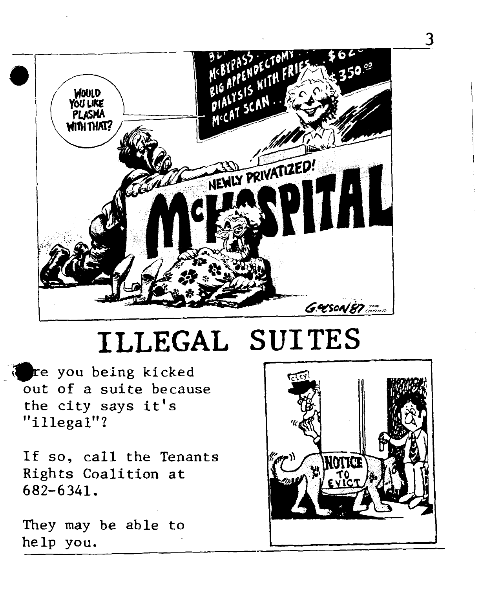

#### **ILLEGAL** SUITES

*@re* **you being kicked**  out **of a suite because the city says it's "illegal"?** 

**If so,** call **the Tenants Rights Coalition at 682-6341.** 

They may be able to  $he1p$  you.

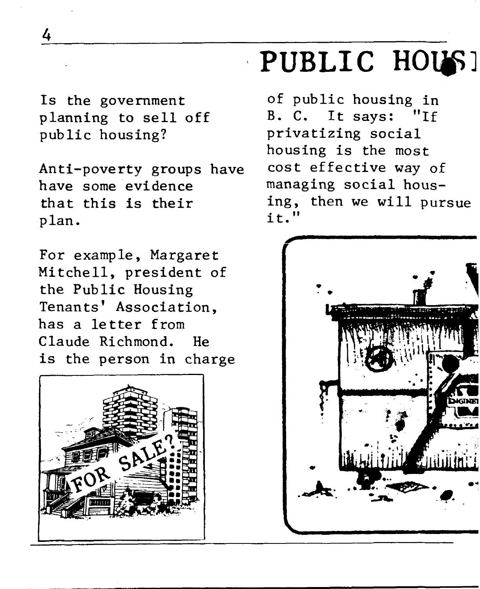Is the government planning to sell off public housing?

Anti-poverty groups have have some evidence that this is their plan.

For example, Margaret Mitchell, president of the Public Housing Tenants ' Association, has a letter from Claude Richmond. He is the person in charge



### PUBLIC HOUS!

of public housing in B. C. It says: "If privatizing social housing is the most cost effective way of managing social housing, then we will pursue it. **It** 



4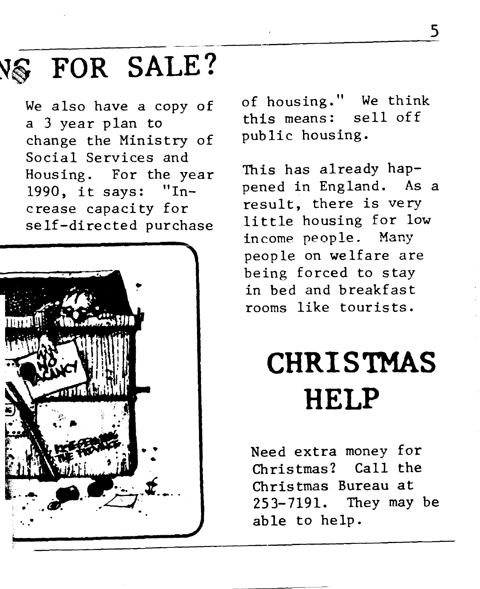## $-$ **N\$** FOR **SALE?**

We also have a copy of a *3* year plan to change the Ministry of Social Services and Housing. For the year 1990, it says: "Increase capacity for self-directed purchase



of housing. " We think this means: sell off public housing.

This has already happened in England. As a result, there is very little housing for low **income people.** Many people on welfare are being forced to **stay**  in bed and breakfast rooms like tourists.

### **CHRISTMAS HELP**

**Need** extra money for Christmas? **Call** the Christmas Bureau at 253-7191. **They** may **be**  able to help.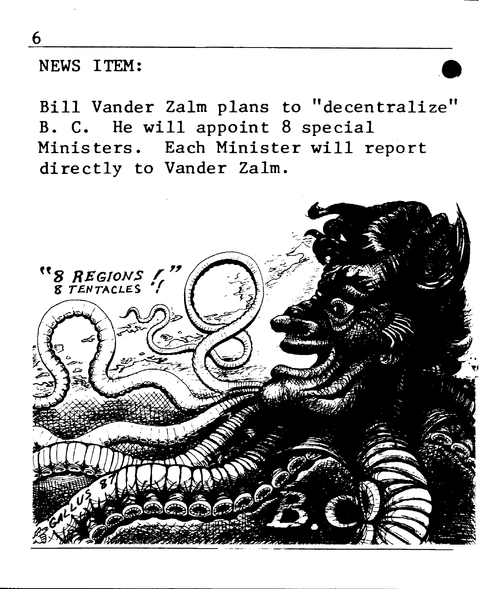**NEWS** ITEM:

Bill Vander Zalm plans to "decentralize" **B. C. He will appoint 8 special Ministers. Each Minister will report directly to Vander Zalm.** 



6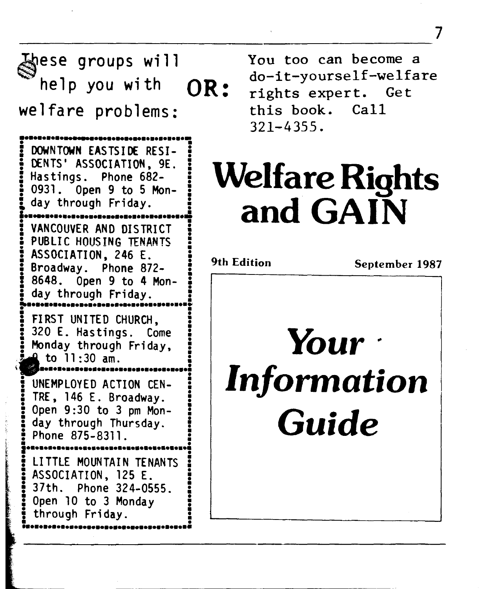**eSe groups wi** 11 YOU too **can** become a help you with  $OR:$  <sup>ao-it-yoursell-well.</sup><br>Ifare problems: this book. Call we1 fare problems: **IO~O~OD~~OHII.H~~OH~O~O~O~O~O~O~O**  : DOWNTOWN EASTSIDE RESI-DENTS' ASSOCIATION, 9E. **5** Hastings. Phone 682- 0931. Open 9 to 5 Mon-: day through Friday. **Lom.~mom~momomomomomomomomomonmomomo**  VANCOUVER AND DISTRICT<br>PUBLIC HOUSING TENANTS **ASSOCIATION, 246 E. i** Broadway. Phone 872- **3 =**8648. Open 9 to 4 Mon day through Friday. **~momomomomomomomomomomomomom~m~D~~\*~~~**  FIRST UNITED CHURCH, FIRST UNITED CHURCH,<br>320 E. Hastings. Come<br>Monday through Friday : FIRST UNITED CHURCH,<br>320 E. Hastings. Come<br>Monday through Friday, **f** to  $11:30$  am. m.m.m.m.m.m.m.m.m.m.m.m.m.m. **0** - I to 11:30 am.<br>
Suncesses and action CEN-<br>
TDE 146 E Broadway **<sup>5</sup>**TRE, 146 E. Broadway. ! Open 9:30 to 3 pm Mon-<br>day through Thursday.<br>Phone 875-8311. day through Thursday. **m ~om~m~moma~~mom~momomomomomomomomomom**  LITTLE MOUNTAIN TENANTS ASSOCIATION, 125 E. **5** 37th. Phone 324-0555. **j** Open 10 to 3 Monday through Friday.

do-it-yourself-welfare this book. 321-4355.

7

## Welfare Rights and **GAIN**

**9th Edition September 1987**  *Your Information*  **Guide**